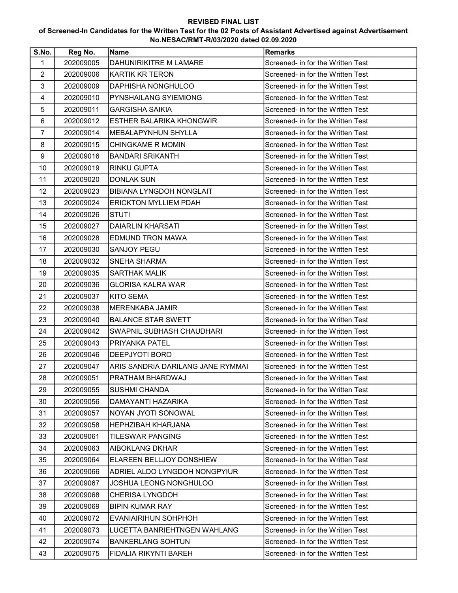## REVISED FINAL LIST

## of Screened-In Candidates for the Written Test for the 02 Posts of Assistant Advertised against Advertisement No.NESAC/RMT-R/03/2020 dated 02.09.2020

| S.No.          | Reg No.   | <b>Name</b>                       | <b>Remarks</b>                    |
|----------------|-----------|-----------------------------------|-----------------------------------|
| 1              | 202009005 | DAHUNIRIKITRE M LAMARE            | Screened- in for the Written Test |
| $\overline{2}$ | 202009006 | <b>KARTIK KR TERON</b>            | Screened- in for the Written Test |
| 3              | 202009009 | DAPHISHA NONGHULOO                | Screened- in for the Written Test |
| 4              | 202009010 | PYNSHAILANG SYIEMIONG             | Screened- in for the Written Test |
| 5              | 202009011 | <b>GARGISHA SAIKIA</b>            | Screened- in for the Written Test |
| 6              | 202009012 | ESTHER BALARIKA KHONGWIR          | Screened- in for the Written Test |
| $\overline{7}$ | 202009014 | <b>MEBALAPYNHUN SHYLLA</b>        | Screened- in for the Written Test |
| 8              | 202009015 | <b>CHINGKAME R MOMIN</b>          | Screened- in for the Written Test |
| 9              | 202009016 | <b>BANDARI SRIKANTH</b>           | Screened- in for the Written Test |
| 10             | 202009019 | <b>RINKU GUPTA</b>                | Screened- in for the Written Test |
| 11             | 202009020 | <b>DONLAK SUN</b>                 | Screened- in for the Written Test |
| 12             | 202009023 | <b>BIBIANA LYNGDOH NONGLAIT</b>   | Screened- in for the Written Test |
| 13             | 202009024 | <b>ERICKTON MYLLIEM PDAH</b>      | Screened- in for the Written Test |
| 14             | 202009026 | <b>STUTI</b>                      | Screened- in for the Written Test |
| 15             | 202009027 | <b>DAIARLIN KHARSATI</b>          | Screened- in for the Written Test |
| 16             | 202009028 | <b>EDMUND TRON MAWA</b>           | Screened- in for the Written Test |
| 17             | 202009030 | <b>SANJOY PEGU</b>                | Screened- in for the Written Test |
| 18             | 202009032 | <b>SNEHA SHARMA</b>               | Screened- in for the Written Test |
| 19             | 202009035 | <b>SARTHAK MALIK</b>              | Screened- in for the Written Test |
| 20             | 202009036 | <b>GLORISA KALRA WAR</b>          | Screened- in for the Written Test |
| 21             | 202009037 | <b>KITO SEMA</b>                  | Screened- in for the Written Test |
| 22             | 202009038 | <b>MERENKABA JAMIR</b>            | Screened- in for the Written Test |
| 23             | 202009040 | <b>BALANCE STAR SWETT</b>         | Screened- in for the Written Test |
| 24             | 202009042 | SWAPNIL SUBHASH CHAUDHARI         | Screened- in for the Written Test |
| 25             | 202009043 | <b>PRIYANKA PATEL</b>             | Screened- in for the Written Test |
| 26             | 202009046 | DEEPJYOTI BORO                    | Screened- in for the Written Test |
| 27             | 202009047 | ARIS SANDRIA DARILANG JANE RYMMAI | Screened- in for the Written Test |
| 28             | 202009051 | PRATHAM BHARDWAJ                  | Screened- in for the Written Test |
| 29             | 202009055 | <b>SUSHMI CHANDA</b>              | Screened- in for the Written Test |
| 30             | 202009056 | DAMAYANTI HAZARIKA                | Screened- in for the Written Test |
| 31             | 202009057 | NOYAN JYOTI SONOWAL               | Screened- in for the Written Test |
| 32             | 202009058 | <b>HEPHZIBAH KHARJANA</b>         | Screened- in for the Written Test |
| 33             | 202009061 | TILESWAR PANGING                  | Screened- in for the Written Test |
| 34             | 202009063 | AIBOKLANG DKHAR                   | Screened- in for the Written Test |
| 35             | 202009064 | <b>ELAREEN BELLJOY DONSHIEW</b>   | Screened- in for the Written Test |
| 36             | 202009066 | ADRIEL ALDO LYNGDOH NONGPYIUR     | Screened- in for the Written Test |
| 37             | 202009067 | JOSHUA LEONG NONGHULOO            | Screened- in for the Written Test |
| 38             | 202009068 | <b>CHERISA LYNGDOH</b>            | Screened- in for the Written Test |
| 39             | 202009069 | <b>BIPIN KUMAR RAY</b>            | Screened- in for the Written Test |
| 40             | 202009072 | EVANIAIRIHUN SOHPHOH              | Screened- in for the Written Test |
| 41             | 202009073 | LUCETTA BANRIEHTNGEN WAHLANG      | Screened- in for the Written Test |
| 42             | 202009074 | <b>BANKERLANG SOHTUN</b>          | Screened- in for the Written Test |
| 43             | 202009075 | FIDALIA RIKYNTI BAREH             | Screened- in for the Written Test |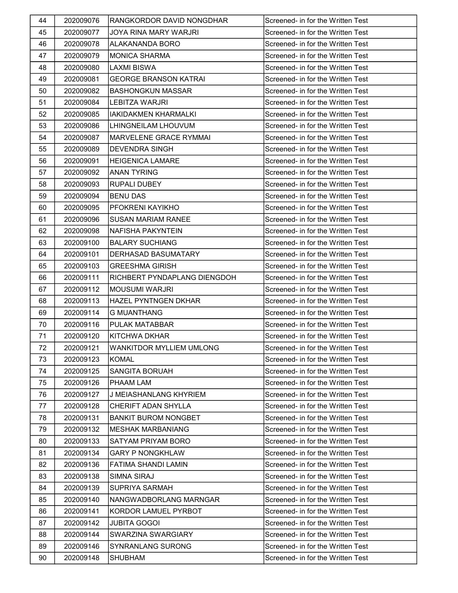| 44 | 202009076 | RANGKORDOR DAVID NONGDHAR       | Screened- in for the Written Test |
|----|-----------|---------------------------------|-----------------------------------|
| 45 | 202009077 | JOYA RINA MARY WARJRI           | Screened- in for the Written Test |
| 46 | 202009078 | <b>ALAKANANDA BORO</b>          | Screened- in for the Written Test |
| 47 | 202009079 | IMONICA SHARMA                  | Screened- in for the Written Test |
| 48 | 202009080 | <b>LAXMI BISWA</b>              | Screened- in for the Written Test |
| 49 | 202009081 | <b>GEORGE BRANSON KATRAI</b>    | Screened- in for the Written Test |
| 50 | 202009082 | <b>BASHONGKUN MASSAR</b>        | Screened- in for the Written Test |
| 51 | 202009084 | <b>LEBITZA WARJRI</b>           | Screened- in for the Written Test |
| 52 | 202009085 | <b>IAKIDAKMEN KHARMALKI</b>     | Screened- in for the Written Test |
| 53 | 202009086 | LHINGNEILAM LHOUVUM             | Screened- in for the Written Test |
| 54 | 202009087 | MARVELENE GRACE RYMMAI          | Screened- in for the Written Test |
| 55 | 202009089 | DEVENDRA SINGH                  | Screened- in for the Written Test |
| 56 | 202009091 | <b>HEIGENICA LAMARE</b>         | Screened- in for the Written Test |
| 57 | 202009092 | <b>ANAN TYRING</b>              | Screened- in for the Written Test |
| 58 | 202009093 | <b>RUPALI DUBEY</b>             | Screened- in for the Written Test |
| 59 | 202009094 | <b>BENU DAS</b>                 | Screened- in for the Written Test |
| 60 | 202009095 | PFOKRENI KAYIKHO                | Screened- in for the Written Test |
| 61 | 202009096 | <b>SUSAN MARIAM RANEE</b>       | Screened- in for the Written Test |
| 62 | 202009098 | NAFISHA PAKYNTEIN               | Screened- in for the Written Test |
| 63 | 202009100 | <b>BALARY SUCHIANG</b>          | Screened- in for the Written Test |
| 64 | 202009101 | DERHASAD BASUMATARY             | Screened- in for the Written Test |
| 65 | 202009103 | <b>GREESHMA GIRISH</b>          | Screened- in for the Written Test |
| 66 | 202009111 | RICHBERT PYNDAPLANG DIENGDOH    | Screened- in for the Written Test |
| 67 | 202009112 | <b>MOUSUMI WARJRI</b>           | Screened- in for the Written Test |
| 68 | 202009113 | HAZEL PYNTNGEN DKHAR            | Screened- in for the Written Test |
| 69 | 202009114 | <b>G MUANTHANG</b>              | Screened- in for the Written Test |
| 70 | 202009116 | PULAK MATABBAR                  | Screened- in for the Written Test |
| 71 | 202009120 | <b>KITCHWA DKHAR</b>            | Screened- in for the Written Test |
| 72 | 202009121 | <b>WANKITDOR MYLLIEM UMLONG</b> | Screened- in for the Written Test |
| 73 | 202009123 | <b>KOMAL</b>                    | Screened- in for the Written Test |
| 74 | 202009125 | <b>SANGITA BORUAH</b>           | Screened- in for the Written Test |
| 75 | 202009126 | PHAAM LAM                       | Screened- in for the Written Test |
| 76 | 202009127 | J MEIASHANLANG KHYRIEM          | Screened- in for the Written Test |
| 77 | 202009128 | CHERIFT ADAN SHYLLA             | Screened- in for the Written Test |
| 78 | 202009131 | <b>BANKIT BUROM NONGBET</b>     | Screened- in for the Written Test |
| 79 | 202009132 | <b>MESHAK MARBANIANG</b>        | Screened- in for the Written Test |
| 80 | 202009133 | SATYAM PRIYAM BORO              | Screened- in for the Written Test |
| 81 | 202009134 | <b>GARY P NONGKHLAW</b>         | Screened- in for the Written Test |
| 82 | 202009136 | FATIMA SHANDI LAMIN             | Screened- in for the Written Test |
| 83 | 202009138 | SIMNA SIRAJ                     | Screened- in for the Written Test |
| 84 | 202009139 | SUPRIYA SARMAH                  | Screened- in for the Written Test |
| 85 | 202009140 | NANGWADBORLANG MARNGAR          | Screened- in for the Written Test |
| 86 | 202009141 | KORDOR LAMUEL PYRBOT            | Screened- in for the Written Test |
| 87 | 202009142 | <b>JUBITA GOGOI</b>             | Screened- in for the Written Test |
| 88 | 202009144 | SWARZINA SWARGIARY              | Screened- in for the Written Test |
| 89 | 202009146 | <b>SYNRANLANG SURONG</b>        | Screened- in for the Written Test |
| 90 | 202009148 | SHUBHAM                         | Screened- in for the Written Test |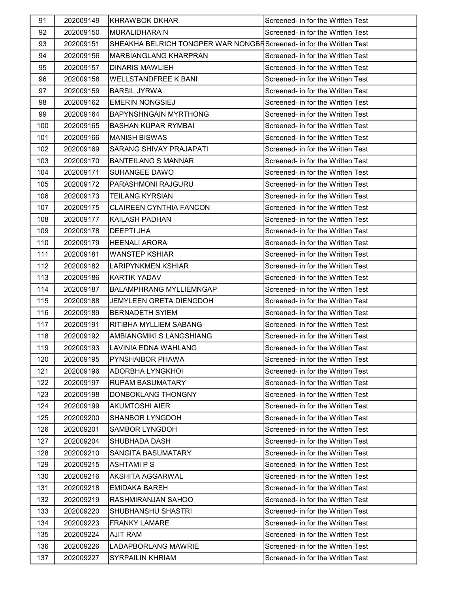| 91  | 202009149 | <b>KHRAWBOK DKHAR</b>                                               | Screened- in for the Written Test |
|-----|-----------|---------------------------------------------------------------------|-----------------------------------|
| 92  | 202009150 | <b>MURALIDHARA N</b>                                                | Screened- in for the Written Test |
| 93  | 202009151 | SHEAKHA BELRICH TONGPER WAR NONGBRScreened- in for the Written Test |                                   |
| 94  | 202009156 | <b>MARBIANGLANG KHARPRAN</b>                                        | Screened- in for the Written Test |
| 95  | 202009157 | <b>DINARIS MAWLIEH</b>                                              | Screened- in for the Written Test |
| 96  | 202009158 | <b>WELLSTANDFREE K BANI</b>                                         | Screened- in for the Written Test |
| 97  | 202009159 | <b>BARSIL JYRWA</b>                                                 | Screened- in for the Written Test |
| 98  | 202009162 | <b>EMERIN NONGSIEJ</b>                                              | Screened- in for the Written Test |
| 99  | 202009164 | <b>BAPYNSHNGAIN MYRTHONG</b>                                        | Screened- in for the Written Test |
| 100 | 202009165 | <b>BASHAN KUPAR RYMBAI</b>                                          | Screened- in for the Written Test |
| 101 | 202009166 | <b>MANISH BISWAS</b>                                                | Screened- in for the Written Test |
| 102 | 202009169 | SARANG SHIVAY PRAJAPATI                                             | Screened- in for the Written Test |
| 103 | 202009170 | <b>BANTEILANG S MANNAR</b>                                          | Screened- in for the Written Test |
| 104 | 202009171 | <b>SUHANGEE DAWO</b>                                                | Screened- in for the Written Test |
| 105 | 202009172 | PARASHMONI RAJGURU                                                  | Screened- in for the Written Test |
| 106 | 202009173 | TEILANG KYRSIAN                                                     | Screened- in for the Written Test |
| 107 | 202009175 | <b>CLAIREEN CYNTHIA FANCON</b>                                      | Screened- in for the Written Test |
| 108 | 202009177 | <b>KAILASH PADHAN</b>                                               | Screened- in for the Written Test |
| 109 | 202009178 | <b>DEEPTI JHA</b>                                                   | Screened- in for the Written Test |
| 110 | 202009179 | <b>HEENALI ARORA</b>                                                | Screened- in for the Written Test |
| 111 | 202009181 | <b>WANSTEP KSHIAR</b>                                               | Screened- in for the Written Test |
| 112 | 202009182 | LARIPYNKMEN KSHIAR                                                  | Screened- in for the Written Test |
| 113 | 202009186 | <b>KARTIK YADAV</b>                                                 | Screened- in for the Written Test |
| 114 | 202009187 | <b>BALAMPHRANG MYLLIEMNGAP</b>                                      | Screened- in for the Written Test |
| 115 | 202009188 | <b>JEMYLEEN GRETA DIENGDOH</b>                                      | Screened- in for the Written Test |
| 116 | 202009189 | <b>BERNADETH SYIEM</b>                                              | Screened- in for the Written Test |
| 117 | 202009191 | RITIBHA MYLLIEM SABANG                                              | Screened- in for the Written Test |
| 118 | 202009192 | <b>AMBIANGMIKI S LANGSHIANG</b>                                     | Screened- in for the Written Test |
| 119 | 202009193 | LAVINIA EDNA WAHLANG                                                | Screened- in for the Written Test |
| 120 | 202009195 | <b>PYNSHAIBOR PHAWA</b>                                             | Screened- in for the Written Test |
| 121 | 202009196 | ADORBHA LYNGKHOI                                                    | Screened- in for the Written Test |
| 122 | 202009197 | <b>RUPAM BASUMATARY</b>                                             | Screened- in for the Written Test |
| 123 | 202009198 | DONBOKLANG THONGNY                                                  | Screened- in for the Written Test |
| 124 | 202009199 | <b>AKUMTOSHI AIER</b>                                               | Screened- in for the Written Test |
| 125 | 202009200 | <b>SHANBOR LYNGDOH</b>                                              | Screened- in for the Written Test |
| 126 | 202009201 | SAMBOR LYNGDOH                                                      | Screened- in for the Written Test |
| 127 | 202009204 | SHUBHADA DASH                                                       | Screened- in for the Written Test |
| 128 | 202009210 | SANGITA BASUMATARY                                                  | Screened- in for the Written Test |
| 129 | 202009215 | <b>ASHTAMI P S</b>                                                  | Screened- in for the Written Test |
| 130 | 202009216 | <b>AKSHITA AGGARWAL</b>                                             | Screened- in for the Written Test |
| 131 | 202009218 | <b>EMIDAKA BAREH</b>                                                | Screened- in for the Written Test |
| 132 | 202009219 | RASHMIRANJAN SAHOO                                                  | Screened- in for the Written Test |
| 133 | 202009220 | <b>SHUBHANSHU SHASTRI</b>                                           | Screened- in for the Written Test |
| 134 | 202009223 | <b>FRANKY LAMARE</b>                                                | Screened- in for the Written Test |
| 135 | 202009224 | <b>AJIT RAM</b>                                                     | Screened- in for the Written Test |
| 136 | 202009226 | LADAPBORLANG MAWRIE                                                 | Screened- in for the Written Test |
| 137 | 202009227 | <b>SYRPAILIN KHRIAM</b>                                             | Screened- in for the Written Test |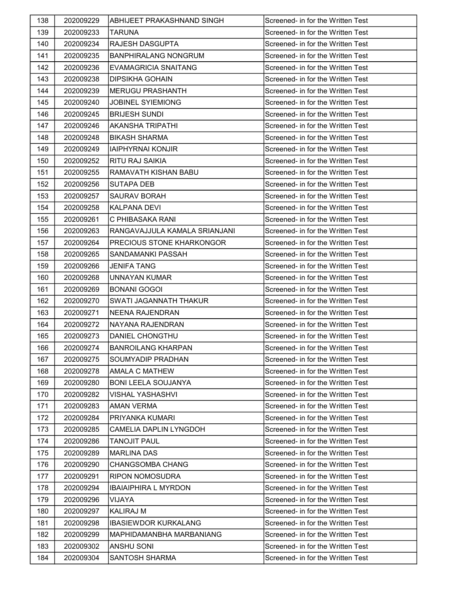| 138 | 202009229 | ABHIJEET PRAKASHNAND SINGH    | Screened- in for the Written Test |
|-----|-----------|-------------------------------|-----------------------------------|
| 139 | 202009233 | <b>TARUNA</b>                 | Screened- in for the Written Test |
| 140 | 202009234 | <b>RAJESH DASGUPTA</b>        | Screened- in for the Written Test |
| 141 | 202009235 | <b>BANPHIRALANG NONGRUM</b>   | Screened- in for the Written Test |
| 142 | 202009236 | <b>EVAMAGRICIA SNAITANG</b>   | Screened- in for the Written Test |
| 143 | 202009238 | <b>DIPSIKHA GOHAIN</b>        | Screened- in for the Written Test |
| 144 | 202009239 | <b>MERUGU PRASHANTH</b>       | Screened- in for the Written Test |
| 145 | 202009240 | <b>JOBINEL SYIEMIONG</b>      | Screened- in for the Written Test |
| 146 | 202009245 | <b>BRIJESH SUNDI</b>          | Screened- in for the Written Test |
| 147 | 202009246 | AKANSHA TRIPATHI              | Screened- in for the Written Test |
| 148 | 202009248 | <b>BIKASH SHARMA</b>          | Screened- in for the Written Test |
| 149 | 202009249 | <b>IAIPHYRNAI KONJIR</b>      | Screened- in for the Written Test |
| 150 | 202009252 | <b>RITU RAJ SAIKIA</b>        | Screened- in for the Written Test |
| 151 | 202009255 | RAMAVATH KISHAN BABU          | Screened- in for the Written Test |
| 152 | 202009256 | <b>SUTAPA DEB</b>             | Screened- in for the Written Test |
| 153 | 202009257 | <b>SAURAV BORAH</b>           | Screened- in for the Written Test |
| 154 | 202009258 | <b>KALPANA DEVI</b>           | Screened- in for the Written Test |
| 155 | 202009261 | C PHIBASAKA RANI              | Screened- in for the Written Test |
| 156 | 202009263 | RANGAVAJJULA KAMALA SRIANJANI | Screened- in for the Written Test |
| 157 | 202009264 | PRECIOUS STONE KHARKONGOR     | Screened- in for the Written Test |
| 158 | 202009265 | SANDAMANKI PASSAH             | Screened- in for the Written Test |
| 159 | 202009266 | <b>JENIFA TANG</b>            | Screened- in for the Written Test |
| 160 | 202009268 | UNNAYAN KUMAR                 | Screened- in for the Written Test |
| 161 | 202009269 | BONANI GOGOI                  | Screened- in for the Written Test |
| 162 | 202009270 | <b>SWATI JAGANNATH THAKUR</b> | Screened- in for the Written Test |
| 163 | 202009271 | <b>NEENA RAJENDRAN</b>        | Screened- in for the Written Test |
| 164 | 202009272 | NAYANA RAJENDRAN              | Screened- in for the Written Test |
| 165 | 202009273 | <b>DANIEL CHONGTHU</b>        | Screened- in for the Written Test |
| 166 | 202009274 | <b>BANROILANG KHARPAN</b>     | Screened- in for the Written Test |
| 167 | 202009275 | <b>SOUMYADIP PRADHAN</b>      | Screened- in for the Written Test |
| 168 | 202009278 | <b>AMALA C MATHEW</b>         | Screened- in for the Written Test |
| 169 | 202009280 | <b>BONI LEELA SOUJANYA</b>    | Screened- in for the Written Test |
| 170 | 202009282 | <b>VISHAL YASHASHVI</b>       | Screened- in for the Written Test |
| 171 | 202009283 | <b>AMAN VERMA</b>             | Screened- in for the Written Test |
| 172 | 202009284 | PRIYANKA KUMARI               | Screened- in for the Written Test |
| 173 | 202009285 | <b>CAMELIA DAPLIN LYNGDOH</b> | Screened- in for the Written Test |
| 174 | 202009286 | <b>TANOJIT PAUL</b>           | Screened- in for the Written Test |
| 175 | 202009289 | <b>MARLINA DAS</b>            | Screened- in for the Written Test |
| 176 | 202009290 | <b>CHANGSOMBA CHANG</b>       | Screened- in for the Written Test |
| 177 | 202009291 | <b>RIPON NOMOSUDRA</b>        | Screened- in for the Written Test |
| 178 | 202009294 | <b>IBAIAIPHIRA L MYRDON</b>   | Screened- in for the Written Test |
| 179 | 202009296 | <b>VIJAYA</b>                 | Screened- in for the Written Test |
| 180 | 202009297 | <b>KALIRAJ M</b>              | Screened- in for the Written Test |
| 181 | 202009298 | <b>IBASIEWDOR KURKALANG</b>   | Screened- in for the Written Test |
| 182 | 202009299 | MAPHIDAMANBHA MARBANIANG      | Screened- in for the Written Test |
| 183 | 202009302 | <b>ANSHU SONI</b>             | Screened- in for the Written Test |
| 184 | 202009304 | SANTOSH SHARMA                | Screened- in for the Written Test |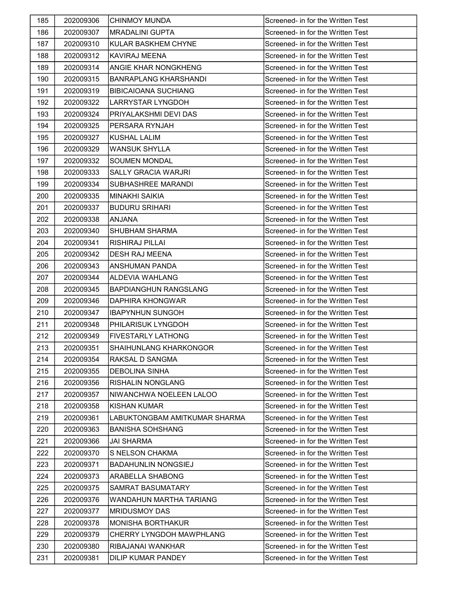| 185 | 202009306 | <b>CHINMOY MUNDA</b>          | Screened- in for the Written Test |
|-----|-----------|-------------------------------|-----------------------------------|
| 186 | 202009307 | <b>MRADALINI GUPTA</b>        | Screened- in for the Written Test |
| 187 | 202009310 | <b>KULAR BASKHEM CHYNE</b>    | Screened- in for the Written Test |
| 188 | 202009312 | <b>KAVIRAJ MEENA</b>          | Screened- in for the Written Test |
| 189 | 202009314 | <b>ANGIE KHAR NONGKHENG</b>   | Screened- in for the Written Test |
| 190 | 202009315 | <b>BANRAPLANG KHARSHANDI</b>  | Screened- in for the Written Test |
| 191 | 202009319 | <b>BIBICAIOANA SUCHIANG</b>   | Screened- in for the Written Test |
| 192 | 202009322 | <b>LARRYSTAR LYNGDOH</b>      | Screened- in for the Written Test |
| 193 | 202009324 | PRIYALAKSHMI DEVI DAS         | Screened- in for the Written Test |
| 194 | 202009325 | PERSARA RYNJAH                | Screened- in for the Written Test |
| 195 | 202009327 | <b>KUSHAL LALIM</b>           | Screened- in for the Written Test |
| 196 | 202009329 | <b>WANSUK SHYLLA</b>          | Screened- in for the Written Test |
| 197 | 202009332 | <b>SOUMEN MONDAL</b>          | Screened- in for the Written Test |
| 198 | 202009333 | SALLY GRACIA WARJRI           | Screened- in for the Written Test |
| 199 | 202009334 | SUBHASHREE MARANDI            | Screened- in for the Written Test |
| 200 | 202009335 | <b>MINAKHI SAIKIA</b>         | Screened- in for the Written Test |
| 201 | 202009337 | <b>BUDURU SRIHARI</b>         | Screened- in for the Written Test |
| 202 | 202009338 | ANJANA                        | Screened- in for the Written Test |
| 203 | 202009340 | SHUBHAM SHARMA                | Screened- in for the Written Test |
| 204 | 202009341 | RISHIRAJ PILLAI               | Screened- in for the Written Test |
| 205 | 202009342 | <b>DESH RAJ MEENA</b>         | Screened- in for the Written Test |
| 206 | 202009343 | <b>ANSHUMAN PANDA</b>         | Screened- in for the Written Test |
| 207 | 202009344 | ALDEVIA WAHLANG               | Screened- in for the Written Test |
| 208 | 202009345 | <b>BAPDIANGHUN RANGSLANG</b>  | Screened- in for the Written Test |
| 209 | 202009346 | <b>DAPHIRA KHONGWAR</b>       | Screened- in for the Written Test |
| 210 | 202009347 | <b>IBAPYNHUN SUNGOH</b>       | Screened- in for the Written Test |
| 211 | 202009348 | PHILARISUK LYNGDOH            | Screened- in for the Written Test |
| 212 | 202009349 | <b>FIVESTARLY LATHONG</b>     | Screened- in for the Written Test |
| 213 | 202009351 | SHAIHUNLANG KHARKONGOR        | Screened- in for the Written Test |
| 214 | 202009354 | RAKSAL D SANGMA               | Screened- in for the Written Test |
| 215 | 202009355 | <b>DEBOLINA SINHA</b>         | Screened- in for the Written Test |
| 216 | 202009356 | <b>RISHALIN NONGLANG</b>      | Screened- in for the Written Test |
| 217 | 202009357 | NIWANCHWA NOELEEN LALOO       | Screened- in for the Written Test |
| 218 | 202009358 | <b>KISHAN KUMAR</b>           | Screened- in for the Written Test |
| 219 | 202009361 | LABUKTONGBAM AMITKUMAR SHARMA | Screened- in for the Written Test |
| 220 | 202009363 | <b>BANISHA SOHSHANG</b>       | Screened- in for the Written Test |
| 221 | 202009366 | JAI SHARMA                    | Screened- in for the Written Test |
| 222 | 202009370 | <b>S NELSON CHAKMA</b>        | Screened- in for the Written Test |
| 223 | 202009371 | <b>BADAHUNLIN NONGSIEJ</b>    | Screened- in for the Written Test |
| 224 | 202009373 | <b>ARABELLA SHABONG</b>       | Screened- in for the Written Test |
| 225 | 202009375 | SAMRAT BASUMATARY             | Screened- in for the Written Test |
| 226 | 202009376 | WANDAHUN MARTHA TARIANG       | Screened- in for the Written Test |
| 227 | 202009377 | <b>MRIDUSMOY DAS</b>          | Screened- in for the Written Test |
| 228 | 202009378 | <b>MONISHA BORTHAKUR</b>      | Screened- in for the Written Test |
| 229 | 202009379 | CHERRY LYNGDOH MAWPHLANG      | Screened- in for the Written Test |
| 230 | 202009380 | RIBAJANAI WANKHAR             | Screened- in for the Written Test |
| 231 | 202009381 | DILIP KUMAR PANDEY            | Screened- in for the Written Test |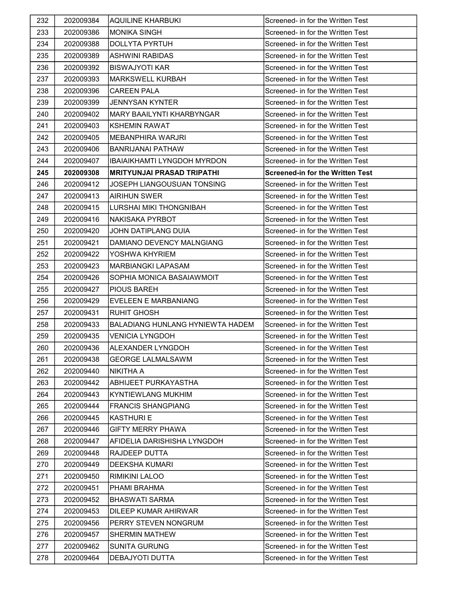| 232 | 202009384 | <b>AQUILINE KHARBUKI</b>                | Screened- in for the Written Test       |
|-----|-----------|-----------------------------------------|-----------------------------------------|
| 233 | 202009386 | <b>MONIKA SINGH</b>                     | Screened- in for the Written Test       |
| 234 | 202009388 | <b>DOLLYTA PYRTUH</b>                   | Screened- in for the Written Test       |
| 235 | 202009389 | ASHWINI RABIDAS                         | Screened- in for the Written Test       |
| 236 | 202009392 | BISWAJYOTI KAR                          | Screened- in for the Written Test       |
| 237 | 202009393 | <b>MARKSWELL KURBAH</b>                 | Screened- in for the Written Test       |
| 238 | 202009396 | <b>CAREEN PALA</b>                      | Screened- in for the Written Test       |
| 239 | 202009399 | <b>JENNYSAN KYNTER</b>                  | Screened- in for the Written Test       |
| 240 | 202009402 | <b>MARY BAAILYNTI KHARBYNGAR</b>        | Screened- in for the Written Test       |
| 241 | 202009403 | <b>KSHEMIN RAWAT</b>                    | Screened- in for the Written Test       |
| 242 | 202009405 | <b>MEBANPHIRA WARJRI</b>                | Screened- in for the Written Test       |
| 243 | 202009406 | <b>BANRIJANAI PATHAW</b>                | Screened- in for the Written Test       |
| 244 | 202009407 | IBAIAIKHAMTI LYNGDOH MYRDON             | Screened- in for the Written Test       |
| 245 | 202009308 | <b>MRITYUNJAI PRASAD TRIPATHI</b>       | <b>Screened-in for the Written Test</b> |
| 246 | 202009412 | JOSEPH LIANGOUSUAN TONSING              | Screened- in for the Written Test       |
| 247 | 202009413 | <b>AIRIHUN SWER</b>                     | Screened- in for the Written Test       |
| 248 | 202009415 | LURSHAI MIKI THONGNIBAH                 | Screened- in for the Written Test       |
| 249 | 202009416 | NAKISAKA PYRBOT                         | Screened- in for the Written Test       |
| 250 | 202009420 | JOHN DATIPLANG DUIA                     | Screened- in for the Written Test       |
| 251 | 202009421 | DAMIANO DEVENCY MALNGIANG               | Screened- in for the Written Test       |
| 252 | 202009422 | YOSHWA KHYRIEM                          | Screened- in for the Written Test       |
| 253 | 202009423 | <b>MARBIANGKI LAPASAM</b>               | Screened- in for the Written Test       |
| 254 | 202009426 | SOPHIA MONICA BASAIAWMOIT               | Screened- in for the Written Test       |
| 255 | 202009427 | <b>PIOUS BAREH</b>                      | Screened- in for the Written Test       |
| 256 | 202009429 | <b>EVELEEN E MARBANIANG</b>             | Screened- in for the Written Test       |
| 257 | 202009431 | <b>RUHIT GHOSH</b>                      | Screened- in for the Written Test       |
| 258 | 202009433 | <b>BALADIANG HUNLANG HYNIEWTA HADEM</b> | Screened- in for the Written Test       |
| 259 | 202009435 | <b>VENICIA LYNGDOH</b>                  | Screened- in for the Written Test       |
| 260 | 202009436 | <b>ALEXANDER LYNGDOH</b>                | Screened- in for the Written Test       |
| 261 | 202009438 | <b>GEORGE LALMALSAWM</b>                | Screened- in for the Written Test       |
| 262 | 202009440 | <b>NIKITHA A</b>                        | Screened- in for the Written Test       |
| 263 | 202009442 | ABHIJEET PURKAYASTHA                    | Screened- in for the Written Test       |
| 264 | 202009443 | KYNTIEWLANG MUKHIM                      | Screened- in for the Written Test       |
| 265 | 202009444 | <b>FRANCIS SHANGPIANG</b>               | Screened- in for the Written Test       |
| 266 | 202009445 | <b>KASTHURI E</b>                       | Screened- in for the Written Test       |
| 267 | 202009446 | <b>GIFTY MERRY PHAWA</b>                | Screened- in for the Written Test       |
| 268 | 202009447 | AFIDELIA DARISHISHA LYNGDOH             | Screened- in for the Written Test       |
| 269 | 202009448 | RAJDEEP DUTTA                           | Screened- in for the Written Test       |
| 270 | 202009449 | <b>DEEKSHA KUMARI</b>                   | Screened- in for the Written Test       |
| 271 | 202009450 | <b>RIMIKINI LALOO</b>                   | Screened- in for the Written Test       |
| 272 | 202009451 | PHAMI BRAHMA                            | Screened- in for the Written Test       |
| 273 | 202009452 | <b>BHASWATI SARMA</b>                   | Screened- in for the Written Test       |
| 274 | 202009453 | DILEEP KUMAR AHIRWAR                    | Screened- in for the Written Test       |
| 275 | 202009456 | PERRY STEVEN NONGRUM                    | Screened- in for the Written Test       |
| 276 | 202009457 | <b>SHERMIN MATHEW</b>                   | Screened- in for the Written Test       |
| 277 | 202009462 | <b>SUNITA GURUNG</b>                    | Screened- in for the Written Test       |
| 278 | 202009464 | DEBAJYOTI DUTTA                         | Screened- in for the Written Test       |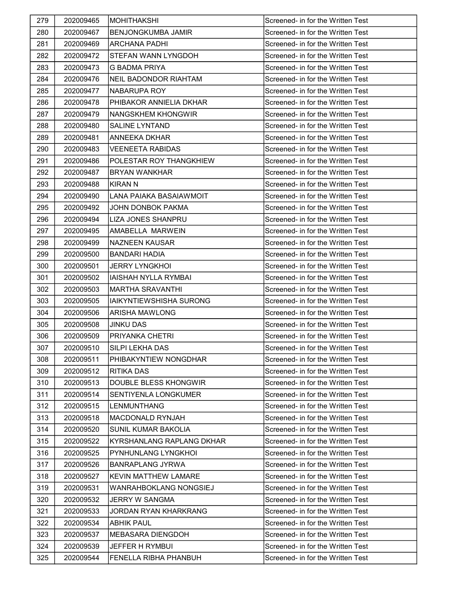| 279 | 202009465 | <b>MOHITHAKSHI</b>             | Screened- in for the Written Test |
|-----|-----------|--------------------------------|-----------------------------------|
| 280 | 202009467 | <b>BENJONGKUMBA JAMIR</b>      | Screened- in for the Written Test |
| 281 | 202009469 | <b>ARCHANA PADHI</b>           | Screened- in for the Written Test |
| 282 | 202009472 | <b>STEFAN WANN LYNGDOH</b>     | Screened- in for the Written Test |
| 283 | 202009473 | G BADMA PRIYA                  | Screened- in for the Written Test |
| 284 | 202009476 | <b>NEIL BADONDOR RIAHTAM</b>   | Screened- in for the Written Test |
| 285 | 202009477 | NABARUPA ROY                   | Screened- in for the Written Test |
| 286 | 202009478 | PHIBAKOR ANNIELIA DKHAR        | Screened- in for the Written Test |
| 287 | 202009479 | NANGSKHEM KHONGWIR             | Screened- in for the Written Test |
| 288 | 202009480 | <b>SALINE LYNTAND</b>          | Screened- in for the Written Test |
| 289 | 202009481 | <b>ANNEEKA DKHAR</b>           | Screened- in for the Written Test |
| 290 | 202009483 | <b>VEENEETA RABIDAS</b>        | Screened- in for the Written Test |
| 291 | 202009486 | POLESTAR ROY THANGKHIEW        | Screened- in for the Written Test |
| 292 | 202009487 | <b>BRYAN WANKHAR</b>           | Screened- in for the Written Test |
| 293 | 202009488 | <b>KIRAN N</b>                 | Screened- in for the Written Test |
| 294 | 202009490 | LANA PAIAKA BASAIAWMOIT        | Screened- in for the Written Test |
| 295 | 202009492 | JOHN DONBOK PAKMA              | Screened- in for the Written Test |
| 296 | 202009494 | <b>LIZA JONES SHANPRU</b>      | Screened- in for the Written Test |
| 297 | 202009495 | AMABELLA MARWEIN               | Screened- in for the Written Test |
| 298 | 202009499 | <b>NAZNEEN KAUSAR</b>          | Screened- in for the Written Test |
| 299 | 202009500 | <b>BANDARI HADIA</b>           | Screened- in for the Written Test |
| 300 | 202009501 | <b>JERRY LYNGKHOI</b>          | Screened- in for the Written Test |
| 301 | 202009502 | IAISHAH NYLLA RYMBAI           | Screened- in for the Written Test |
| 302 | 202009503 | <b>MARTHA SRAVANTHI</b>        | Screened- in for the Written Test |
| 303 | 202009505 | <b>IAIKYNTIEWSHISHA SURONG</b> | Screened- in for the Written Test |
| 304 | 202009506 | ARISHA MAWLONG                 | Screened- in for the Written Test |
| 305 | 202009508 | <b>JINKU DAS</b>               | Screened- in for the Written Test |
| 306 | 202009509 | PRIYANKA CHETRI                | Screened- in for the Written Test |
| 307 | 202009510 | <b>SILPI LEKHA DAS</b>         | Screened- in for the Written Test |
| 308 | 202009511 | PHIBAKYNTIEW NONGDHAR          | Screened- in for the Written Test |
| 309 | 202009512 | <b>RITIKA DAS</b>              | Screened- in for the Written Test |
| 310 | 202009513 | DOUBLE BLESS KHONGWIR          | Screened- in for the Written Test |
| 311 | 202009514 | <b>SENTIYENLA LONGKUMER</b>    | Screened- in for the Written Test |
| 312 | 202009515 | <b>LENMUNTHANG</b>             | Screened- in for the Written Test |
| 313 | 202009518 | <b>MACDONALD RYNJAH</b>        | Screened- in for the Written Test |
| 314 | 202009520 | <b>SUNIL KUMAR BAKOLIA</b>     | Screened- in for the Written Test |
| 315 | 202009522 | KYRSHANLANG RAPLANG DKHAR      | Screened- in for the Written Test |
| 316 | 202009525 | <b>PYNHUNLANG LYNGKHOL</b>     | Screened- in for the Written Test |
| 317 | 202009526 | <b>BANRAPLANG JYRWA</b>        | Screened- in for the Written Test |
| 318 | 202009527 | KEVIN MATTHEW LAMARE           | Screened- in for the Written Test |
| 319 | 202009531 | WANRAHBOKLANG NONGSIEJ         | Screened- in for the Written Test |
| 320 | 202009532 | JERRY W SANGMA                 | Screened- in for the Written Test |
| 321 | 202009533 | JORDAN RYAN KHARKRANG          | Screened- in for the Written Test |
| 322 | 202009534 | <b>ABHIK PAUL</b>              | Screened- in for the Written Test |
| 323 | 202009537 | <b>MEBASARA DIENGDOH</b>       | Screened- in for the Written Test |
| 324 | 202009539 | JEFFER H RYMBUI                | Screened- in for the Written Test |
| 325 | 202009544 | FENELLA RIBHA PHANBUH          | Screened- in for the Written Test |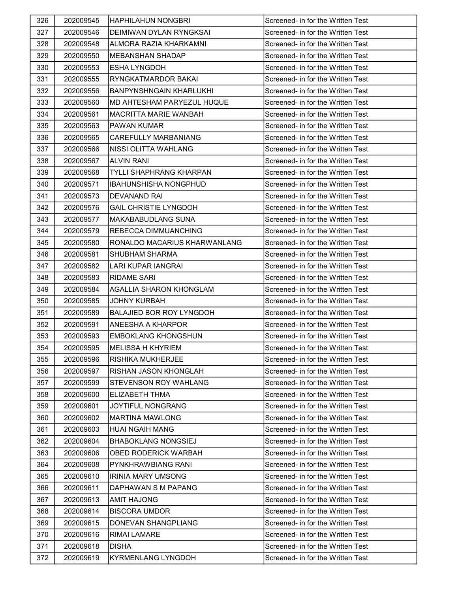| 326 | 202009545 | <b>HAPHILAHUN NONGBRI</b>       | Screened- in for the Written Test |
|-----|-----------|---------------------------------|-----------------------------------|
| 327 | 202009546 | DEIMIWAN DYLAN RYNGKSAI         | Screened- in for the Written Test |
| 328 | 202009548 | ALMORA RAZIA KHARKAMNI          | Screened- in for the Written Test |
| 329 | 202009550 | IMEBANSHAN SHADAP               | Screened- in for the Written Test |
| 330 | 202009553 | <b>ESHA LYNGDOH</b>             | Screened- in for the Written Test |
| 331 | 202009555 | RYNGKATMARDOR BAKAI             | Screened- in for the Written Test |
| 332 | 202009556 | <b>BANPYNSHNGAIN KHARLUKHI</b>  | Screened- in for the Written Test |
| 333 | 202009560 | MD AHTESHAM PARYEZUL HUQUE      | Screened- in for the Written Test |
| 334 | 202009561 | MACRITTA MARIE WANBAH           | Screened- in for the Written Test |
| 335 | 202009563 | <b>PAWAN KUMAR</b>              | Screened- in for the Written Test |
| 336 | 202009565 | CAREFULLY MARBANIANG            | Screened- in for the Written Test |
| 337 | 202009566 | NISSI OLITTA WAHLANG            | Screened- in for the Written Test |
| 338 | 202009567 | <b>ALVIN RANI</b>               | Screened- in for the Written Test |
| 339 | 202009568 | <b>TYLLI SHAPHRANG KHARPAN</b>  | Screened- in for the Written Test |
| 340 | 202009571 | <b>IBAHUNSHISHA NONGPHUD</b>    | Screened- in for the Written Test |
| 341 | 202009573 | DEVANAND RAI                    | Screened- in for the Written Test |
| 342 | 202009576 | <b>GAIL CHRISTIE LYNGDOH</b>    | Screened- in for the Written Test |
| 343 | 202009577 | MAKABABUDLANG SUNA              | Screened- in for the Written Test |
| 344 | 202009579 | <b>REBECCA DIMMUANCHING</b>     | Screened- in for the Written Test |
| 345 | 202009580 | RONALDO MACARIUS KHARWANLANG    | Screened- in for the Written Test |
| 346 | 202009581 | <b>SHUBHAM SHARMA</b>           | Screened- in for the Written Test |
| 347 | 202009582 | LARI KUPAR IANGRAI              | Screened- in for the Written Test |
| 348 | 202009583 | <b>RIDAME SARI</b>              | Screened- in for the Written Test |
| 349 | 202009584 | <b>AGALLIA SHARON KHONGLAM</b>  | Screened- in for the Written Test |
| 350 | 202009585 | <b>JOHNY KURBAH</b>             | Screened- in for the Written Test |
| 351 | 202009589 | <b>BALAJIED BOR ROY LYNGDOH</b> | Screened- in for the Written Test |
| 352 | 202009591 | <b>ANEESHA A KHARPOR</b>        | Screened- in for the Written Test |
| 353 | 202009593 | <b>EMBOKLANG KHONGSHUN</b>      | Screened- in for the Written Test |
| 354 | 202009595 | <b>MELISSA H KHYRIEM</b>        | Screened- in for the Written Test |
| 355 | 202009596 | IRISHIKA MUKHERJEE              | Screened- in for the Written Test |
| 356 | 202009597 | RISHAN JASON KHONGLAH           | Screened- in for the Written Test |
| 357 | 202009599 | STEVENSON ROY WAHLANG           | Screened- in for the Written Test |
| 358 | 202009600 | ELIZABETH THMA                  | Screened- in for the Written Test |
| 359 | 202009601 | <b>JOYTIFUL NONGRANG</b>        | Screened- in for the Written Test |
| 360 | 202009602 | <b>MARTINA MAWLONG</b>          | Screened- in for the Written Test |
| 361 | 202009603 | <b>HUAI NGAIH MANG</b>          | Screened- in for the Written Test |
| 362 | 202009604 | <b>BHABOKLANG NONGSIEJ</b>      | Screened- in for the Written Test |
| 363 | 202009606 | OBED RODERICK WARBAH            | Screened- in for the Written Test |
| 364 | 202009608 | PYNKHRAWBIANG RANI              | Screened- in for the Written Test |
| 365 | 202009610 | IRINIA MARY UMSONG              | Screened- in for the Written Test |
| 366 | 202009611 | DAPHAWAN S M PAPANG             | Screened- in for the Written Test |
| 367 | 202009613 | <b>AMIT HAJONG</b>              | Screened- in for the Written Test |
| 368 | 202009614 | <b>BISCORA UMDOR</b>            | Screened- in for the Written Test |
| 369 | 202009615 | DONEVAN SHANGPLIANG             | Screened- in for the Written Test |
| 370 | 202009616 | RIMAI LAMARE                    | Screened- in for the Written Test |
| 371 | 202009618 | <b>DISHA</b>                    | Screened- in for the Written Test |
| 372 | 202009619 | <b>KYRMENLANG LYNGDOH</b>       | Screened- in for the Written Test |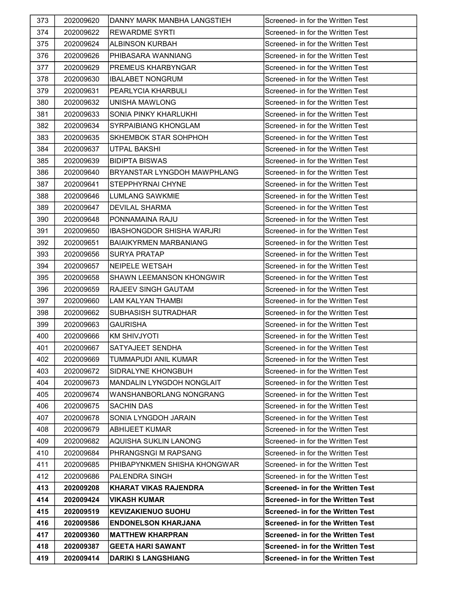| 373 | 202009620 | DANNY MARK MANBHA LANGSTIEH        | Screened- in for the Written Test        |
|-----|-----------|------------------------------------|------------------------------------------|
| 374 | 202009622 | <b>REWARDME SYRTI</b>              | Screened- in for the Written Test        |
| 375 | 202009624 | ALBINSON KURBAH                    | Screened- in for the Written Test        |
| 376 | 202009626 | PHIBASARA WANNIANG                 | Screened- in for the Written Test        |
| 377 | 202009629 | <b>PREMEUS KHARBYNGAR</b>          | Screened- in for the Written Test        |
| 378 | 202009630 | <b>IBALABET NONGRUM</b>            | Screened- in for the Written Test        |
| 379 | 202009631 | PEARLYCIA KHARBULI                 | Screened- in for the Written Test        |
| 380 | 202009632 | UNISHA MAWLONG                     | Screened- in for the Written Test        |
| 381 | 202009633 | SONIA PINKY KHARLUKHI              | Screened- in for the Written Test        |
| 382 | 202009634 | <b>SYRPAIBIANG KHONGLAM</b>        | Screened- in for the Written Test        |
| 383 | 202009635 | <b>SKHEMBOK STAR SOHPHOH</b>       | Screened- in for the Written Test        |
| 384 | 202009637 | UTPAL BAKSHI                       | Screened- in for the Written Test        |
| 385 | 202009639 | <b>BIDIPTA BISWAS</b>              | Screened- in for the Written Test        |
| 386 | 202009640 | <b>BRYANSTAR LYNGDOH MAWPHLANG</b> | Screened- in for the Written Test        |
| 387 | 202009641 | <b>STEPPHYRNAI CHYNE</b>           | Screened- in for the Written Test        |
| 388 | 202009646 | <b>LUMLANG SAWKMIE</b>             | Screened- in for the Written Test        |
| 389 | 202009647 | <b>DEVILAL SHARMA</b>              | Screened- in for the Written Test        |
| 390 | 202009648 | PONNAMAINA RAJU                    | Screened- in for the Written Test        |
| 391 | 202009650 | <b>IBASHONGDOR SHISHA WARJRI</b>   | Screened- in for the Written Test        |
| 392 | 202009651 | <b>BAIAIKYRMEN MARBANIANG</b>      | Screened- in for the Written Test        |
| 393 | 202009656 | <b>SURYA PRATAP</b>                | Screened- in for the Written Test        |
| 394 | 202009657 | <b>NEIPELE WETSAH</b>              | Screened- in for the Written Test        |
| 395 | 202009658 | <b>SHAWN LEEMANSON KHONGWIR</b>    | Screened- in for the Written Test        |
| 396 | 202009659 | <b>RAJEEV SINGH GAUTAM</b>         | Screened- in for the Written Test        |
| 397 | 202009660 | LAM KALYAN THAMBI                  | Screened- in for the Written Test        |
| 398 | 202009662 | <b>SUBHASISH SUTRADHAR</b>         | Screened- in for the Written Test        |
| 399 | 202009663 | <b>GAURISHA</b>                    | Screened- in for the Written Test        |
| 400 | 202009666 | <b>KM SHIVJYOTI</b>                | Screened- in for the Written Test        |
| 401 | 202009667 | <b>SATYAJEET SENDHA</b>            | Screened- in for the Written Test        |
| 402 | 202009669 | <b>TUMMAPUDI ANIL KUMAR</b>        | Screened- in for the Written Test        |
| 403 | 202009672 | SIDRALYNE KHONGBUH                 | Screened- in for the Written Test        |
| 404 | 202009673 | MANDALIN LYNGDOH NONGLAIT          | Screened- in for the Written Test        |
| 405 | 202009674 | WANSHANBORLANG NONGRANG            | Screened- in for the Written Test        |
| 406 | 202009675 | <b>SACHIN DAS</b>                  | Screened- in for the Written Test        |
| 407 | 202009678 | SONIA LYNGDOH JARAIN               | Screened- in for the Written Test        |
| 408 | 202009679 | <b>ABHIJEET KUMAR</b>              | Screened- in for the Written Test        |
| 409 | 202009682 | <b>AQUISHA SUKLIN LANONG</b>       | Screened- in for the Written Test        |
| 410 | 202009684 | PHRANGSNGI M RAPSANG               | Screened- in for the Written Test        |
| 411 | 202009685 | IPHIBAPYNKMEN SHISHA KHONGWAR      | Screened- in for the Written Test        |
| 412 | 202009686 | <b>PALENDRA SINGH</b>              | Screened- in for the Written Test        |
| 413 | 202009208 | KHARAT VIKAS RAJENDRA              | <b>Screened- in for the Written Test</b> |
| 414 | 202009424 | <b>VIKASH KUMAR</b>                | <b>Screened- in for the Written Test</b> |
| 415 | 202009519 | <b>KEVIZAKIENUO SUOHU</b>          | <b>Screened- in for the Written Test</b> |
| 416 | 202009586 | <b>ENDONELSON KHARJANA</b>         | <b>Screened- in for the Written Test</b> |
| 417 | 202009360 | <b>MATTHEW KHARPRAN</b>            | <b>Screened- in for the Written Test</b> |
| 418 | 202009387 | <b>GEETA HARI SAWANT</b>           | <b>Screened- in for the Written Test</b> |
| 419 | 202009414 | <b>DARIKI S LANGSHIANG</b>         | <b>Screened- in for the Written Test</b> |